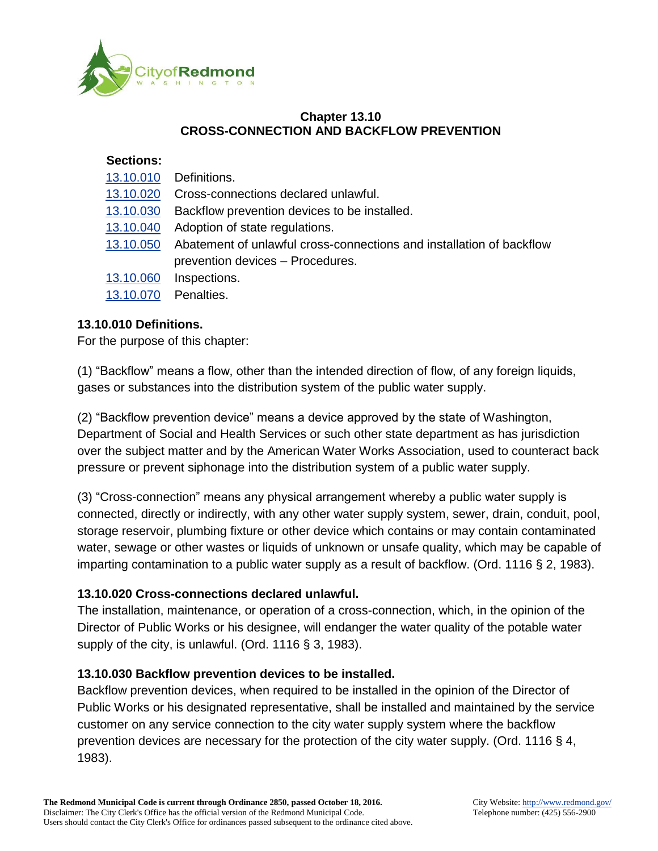

### **Chapter 13.10 CROSS-CONNECTION AND BACKFLOW PREVENTION**

#### **Sections:**

| 13.10.010 | Definitions.                                                         |
|-----------|----------------------------------------------------------------------|
| 13.10.020 | Cross-connections declared unlawful.                                 |
| 13.10.030 | Backflow prevention devices to be installed.                         |
| 13.10.040 | Adoption of state regulations.                                       |
| 13.10.050 | Abatement of unlawful cross-connections and installation of backflow |
|           | prevention devices - Procedures.                                     |
| 13.10.060 | Inspections.                                                         |
| 13.10.070 | Penalties.                                                           |
|           |                                                                      |

### **13.10.010 Definitions.**

For the purpose of this chapter:

(1) "Backflow" means a flow, other than the intended direction of flow, of any foreign liquids, gases or substances into the distribution system of the public water supply.

(2) "Backflow prevention device" means a device approved by the state of Washington, Department of Social and Health Services or such other state department as has jurisdiction over the subject matter and by the American Water Works Association, used to counteract back pressure or prevent siphonage into the distribution system of a public water supply.

(3) "Cross-connection" means any physical arrangement whereby a public water supply is connected, directly or indirectly, with any other water supply system, sewer, drain, conduit, pool, storage reservoir, plumbing fixture or other device which contains or may contain contaminated water, sewage or other wastes or liquids of unknown or unsafe quality, which may be capable of imparting contamination to a public water supply as a result of backflow. (Ord. 1116 § 2, 1983).

### **13.10.020 Cross-connections declared unlawful.**

The installation, maintenance, or operation of a cross-connection, which, in the opinion of the Director of Public Works or his designee, will endanger the water quality of the potable water supply of the city, is unlawful. (Ord. 1116 § 3, 1983).

### **13.10.030 Backflow prevention devices to be installed.**

Backflow prevention devices, when required to be installed in the opinion of the Director of Public Works or his designated representative, shall be installed and maintained by the service customer on any service connection to the city water supply system where the backflow prevention devices are necessary for the protection of the city water supply. (Ord. 1116 § 4, 1983).